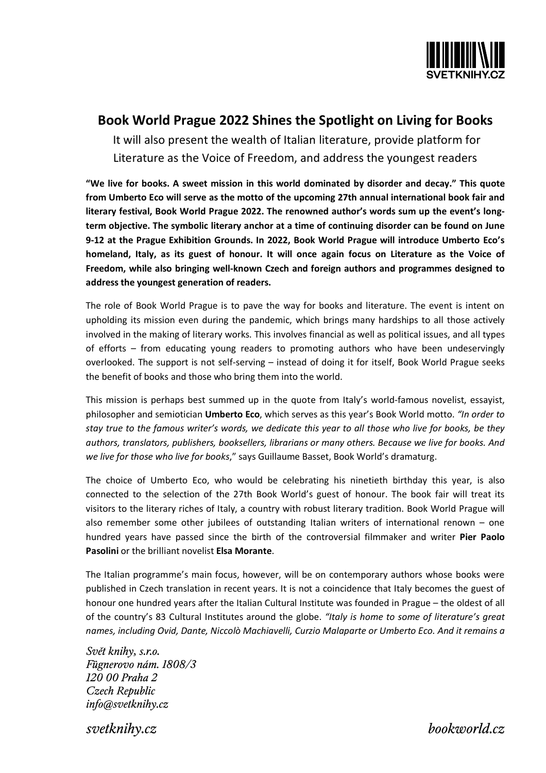

## **Book World Prague 2022 Shines the Spotlight on Living for Books**

It will also present the wealth of Italian literature, provide platform for Literature as the Voice of Freedom, and address the youngest readers

**"We live for books. A sweet mission in this world dominated by disorder and decay." This quote from Umberto Eco will serve as the motto of the upcoming 27th annual international book fair and literary festival, Book World Prague 2022. The renowned author's words sum up the event's longterm objective. The symbolic literary anchor at a time of continuing disorder can be found on June 9-12 at the Prague Exhibition Grounds. In 2022, Book World Prague will introduce Umberto Eco's homeland, Italy, as its guest of honour. It will once again focus on Literature as the Voice of Freedom, while also bringing well-known Czech and foreign authors and programmes designed to address the youngest generation of readers.** 

The role of Book World Prague is to pave the way for books and literature. The event is intent on upholding its mission even during the pandemic, which brings many hardships to all those actively involved in the making of literary works. This involves financial as well as political issues, and all types of efforts – from educating young readers to promoting authors who have been undeservingly overlooked. The support is not self-serving – instead of doing it for itself, Book World Prague seeks the benefit of books and those who bring them into the world.

This mission is perhaps best summed up in the quote from Italy's world-famous novelist, essayist, philosopher and semiotician **Umberto Eco**, which serves as this year's Book World motto. *"In order to stay true to the famous writer's words, we dedicate this year to all those who live for books, be they authors, translators, publishers, booksellers, librarians or many others. Because we live for books. And we live for those who live for books*," says Guillaume Basset, Book World's dramaturg.

The choice of Umberto Eco, who would be celebrating his ninetieth birthday this year, is also connected to the selection of the 27th Book World's guest of honour. The book fair will treat its visitors to the literary riches of Italy, a country with robust literary tradition. Book World Prague will also remember some other jubilees of outstanding Italian writers of international renown – one hundred years have passed since the birth of the controversial filmmaker and writer **Pier Paolo Pasolini** or the brilliant novelist **Elsa Morante**.

The Italian programme's main focus, however, will be on contemporary authors whose books were published in Czech translation in recent years. It is not a coincidence that Italy becomes the guest of honour one hundred years after the Italian Cultural Institute was founded in Prague – the oldest of all of the country's 83 Cultural Institutes around the globe. *"Italy is home to some of literature's great names, including Ovid, Dante, Niccolò Machiavelli, Curzio Malaparte or Umberto Eco. And it remains a* 

Svět knihy, s.r.o. Fügnerovo nám. 1808/3 120 00 Praha 2 Czech Republic  $info$ @svetknihy.cz

svetknihv.cz

bookworld.cz